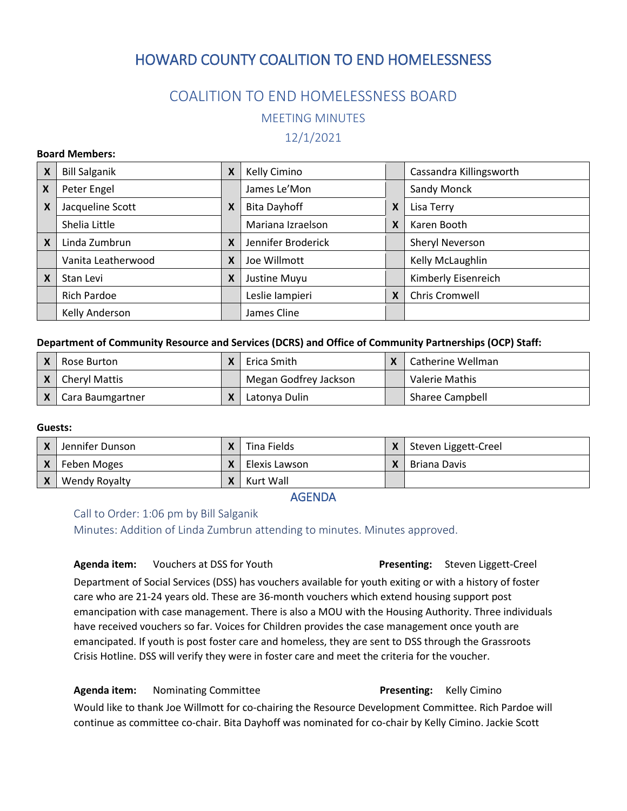# HOWARD COUNTY COALITION TO END HOMELESSNESS

# COALITION TO END HOMELESSNESS BOARD MEETING MINUTES

## 12/1/2021

### **Board Members:**

| X                         | <b>Bill Salganik</b> | X | Kelly Cimino        |   | Cassandra Killingsworth |
|---------------------------|----------------------|---|---------------------|---|-------------------------|
| X                         | Peter Engel          |   | James Le'Mon        |   | Sandy Monck             |
| X                         | Jacqueline Scott     | X | <b>Bita Dayhoff</b> | X | Lisa Terry              |
|                           | Shelia Little        |   | Mariana Izraelson   | X | Karen Booth             |
| $\boldsymbol{\mathsf{x}}$ | Linda Zumbrun        | X | Jennifer Broderick  |   | Sheryl Neverson         |
|                           | Vanita Leatherwood   | X | Joe Willmott        |   | Kelly McLaughlin        |
| X                         | Stan Levi            | X | Justine Muyu        |   | Kimberly Eisenreich     |
|                           | <b>Rich Pardoe</b>   |   | Leslie lampieri     | X | Chris Cromwell          |
|                           | Kelly Anderson       |   | James Cline         |   |                         |

### **Department of Community Resource and Services (DCRS) and Office of Community Partnerships (OCP) Staff:**

| Rose Burton          | Erica Smith           | Catherine Wellman      |
|----------------------|-----------------------|------------------------|
| <b>Cheryl Mattis</b> | Megan Godfrey Jackson | Valerie Mathis         |
| Cara Baumgartner     | Latonya Dulin         | <b>Sharee Campbell</b> |

### **Guests:**

|                           | Jennifer Dunson |  | Tina Fields   |  | Steven Liggett-Creel |  |
|---------------------------|-----------------|--|---------------|--|----------------------|--|
|                           | Feben Moges     |  | Elexis Lawson |  | Briana Davis         |  |
| $\boldsymbol{\mathsf{x}}$ | Wendy Royalty   |  | Kurt Wall     |  |                      |  |
|                           |                 |  |               |  |                      |  |

AGENDA

Call to Order: 1:06 pm by Bill Salganik Minutes: Addition of Linda Zumbrun attending to minutes. Minutes approved.

#### **Agenda item:** Vouchers at DSS for Youth **Presenting:** Steven Liggett-Creel

Department of Social Services (DSS) has vouchers available for youth exiting or with a history of foster care who are 21-24 years old. These are 36-month vouchers which extend housing support post emancipation with case management. There is also a MOU with the Housing Authority. Three individuals have received vouchers so far. Voices for Children provides the case management once youth are emancipated. If youth is post foster care and homeless, they are sent to DSS through the Grassroots Crisis Hotline. DSS will verify they were in foster care and meet the criteria for the voucher.

## **Agenda item:** Nominating Committee **Presenting:** Kelly Cimino

Would like to thank Joe Willmott for co-chairing the Resource Development Committee. Rich Pardoe will continue as committee co-chair. Bita Dayhoff was nominated for co-chair by Kelly Cimino. Jackie Scott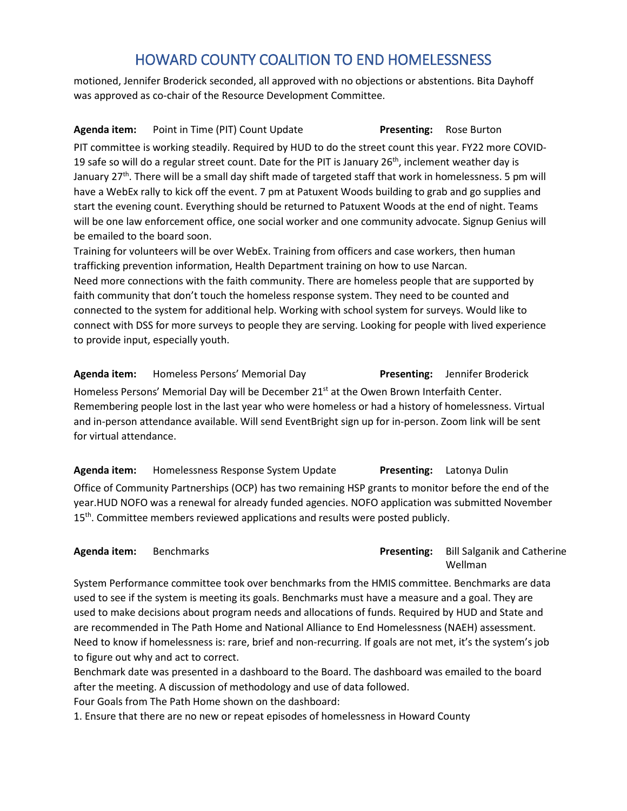# HOWARD COUNTY COALITION TO END HOMELESSNESS

motioned, Jennifer Broderick seconded, all approved with no objections or abstentions. Bita Dayhoff was approved as co-chair of the Resource Development Committee.

## **Agenda item:** Point in Time (PIT) Count Update **Presenting:** Rose Burton

PIT committee is working steadily. Required by HUD to do the street count this year. FY22 more COVID-19 safe so will do a regular street count. Date for the PIT is January  $26<sup>th</sup>$ , inclement weather day is January 27<sup>th</sup>. There will be a small day shift made of targeted staff that work in homelessness. 5 pm will have a WebEx rally to kick off the event. 7 pm at Patuxent Woods building to grab and go supplies and start the evening count. Everything should be returned to Patuxent Woods at the end of night. Teams will be one law enforcement office, one social worker and one community advocate. Signup Genius will be emailed to the board soon.

Training for volunteers will be over WebEx. Training from officers and case workers, then human trafficking prevention information, Health Department training on how to use Narcan. Need more connections with the faith community. There are homeless people that are supported by faith community that don't touch the homeless response system. They need to be counted and connected to the system for additional help. Working with school system for surveys. Would like to connect with DSS for more surveys to people they are serving. Looking for people with lived experience to provide input, especially youth.

**Agenda item:** Homeless Persons' Memorial Day **Presenting:** Jennifer Broderick Homeless Persons' Memorial Day will be December 21<sup>st</sup> at the Owen Brown Interfaith Center. Remembering people lost in the last year who were homeless or had a history of homelessness. Virtual and in-person attendance available. Will send EventBright sign up for in-person. Zoom link will be sent for virtual attendance.

**Agenda item:** Homelessness Response System Update **Presenting:** Latonya Dulin Office of Community Partnerships (OCP) has two remaining HSP grants to monitor before the end of the year.HUD NOFO was a renewal for already funded agencies. NOFO application was submitted November 15<sup>th</sup>. Committee members reviewed applications and results were posted publicly.

## **Agenda item:** Benchmarks **Presenting:** Bill Salganik and Catherine Wellman

System Performance committee took over benchmarks from the HMIS committee. Benchmarks are data used to see if the system is meeting its goals. Benchmarks must have a measure and a goal. They are used to make decisions about program needs and allocations of funds. Required by HUD and State and are recommended in The Path Home and National Alliance to End Homelessness (NAEH) assessment. Need to know if homelessness is: rare, brief and non-recurring. If goals are not met, it's the system's job to figure out why and act to correct.

Benchmark date was presented in a dashboard to the Board. The dashboard was emailed to the board after the meeting. A discussion of methodology and use of data followed.

Four Goals from The Path Home shown on the dashboard:

1. Ensure that there are no new or repeat episodes of homelessness in Howard County